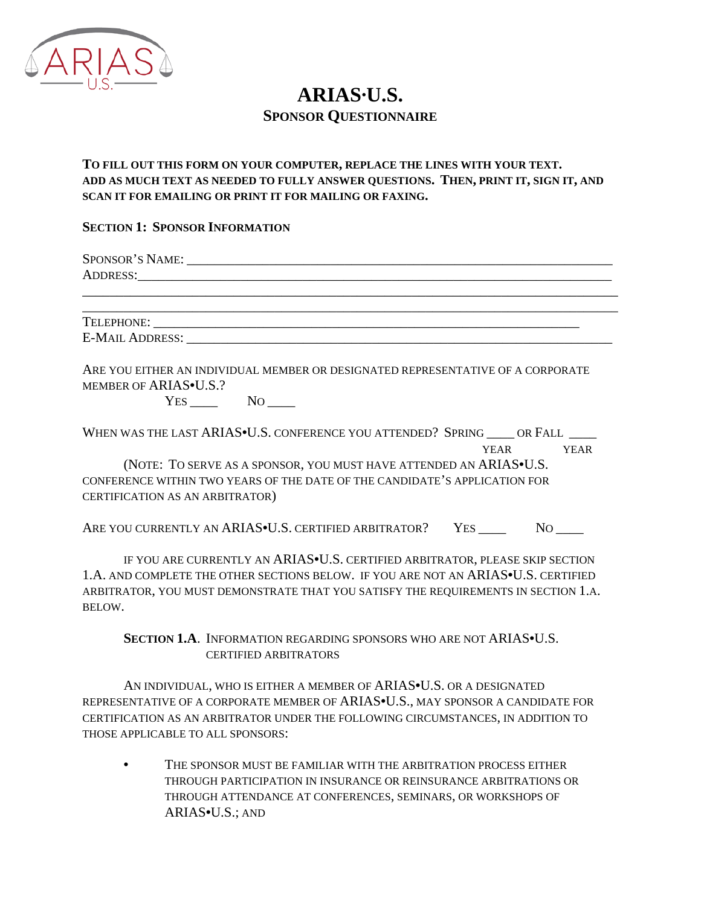

# **ARIAS·U.S. SPONSOR QUESTIONNAIRE**

# **TO FILL OUT THIS FORM ON YOUR COMPUTER, REPLACE THE LINES WITH YOUR TEXT. ADD AS MUCH TEXT AS NEEDED TO FULLY ANSWER QUESTIONS. THEN, PRINT IT, SIGN IT, AND SCAN IT FOR EMAILING OR PRINT IT FOR MAILING OR FAXING.**

### **SECTION 1: SPONSOR INFORMATION**

| SPONSOR'S NAME:<br>ADDRESS: ADDRESS: |  |  |
|--------------------------------------|--|--|
|                                      |  |  |
| TELEPHONE:                           |  |  |
| <b>E-MAIL ADDRESS:</b>               |  |  |

ARE YOU EITHER AN INDIVIDUAL MEMBER OR DESIGNATED REPRESENTATIVE OF A CORPORATE MEMBER OF ARIAS•U.S.?

YES \_\_\_\_ NO \_\_\_\_

| WHEN WAS THE LAST ARIAS. CONFERENCE YOU ATTENDED? SPRING OR FALL |      |      |
|------------------------------------------------------------------|------|------|
|                                                                  | YEAR | YEAR |
|                                                                  |      |      |

 (NOTE: TO SERVE AS A SPONSOR, YOU MUST HAVE ATTENDED AN ARIAS•U.S. CONFERENCE WITHIN TWO YEARS OF THE DATE OF THE CANDIDATE'S APPLICATION FOR CERTIFICATION AS AN ARBITRATOR)

ARE YOU CURRENTLY AN ARIAS•U.S. CERTIFIED ARBITRATOR? YES NO

IF YOU ARE CURRENTLY AN ARIAS•U.S. CERTIFIED ARBITRATOR, PLEASE SKIP SECTION 1.A. AND COMPLETE THE OTHER SECTIONS BELOW. IF YOU ARE NOT AN ARIAS•U.S. CERTIFIED ARBITRATOR, YOU MUST DEMONSTRATE THAT YOU SATISFY THE REQUIREMENTS IN SECTION 1.A. BELOW.

**SECTION 1.A**. INFORMATION REGARDING SPONSORS WHO ARE NOT ARIAS•U.S. CERTIFIED ARBITRATORS

AN INDIVIDUAL, WHO IS EITHER A MEMBER OF ARIAS<sup>·U.S.</sup> OR A DESIGNATED REPRESENTATIVE OF A CORPORATE MEMBER OF ARIAS•U.S., MAY SPONSOR A CANDIDATE FOR CERTIFICATION AS AN ARBITRATOR UNDER THE FOLLOWING CIRCUMSTANCES, IN ADDITION TO THOSE APPLICABLE TO ALL SPONSORS:

THE SPONSOR MUST BE FAMILIAR WITH THE ARBITRATION PROCESS EITHER THROUGH PARTICIPATION IN INSURANCE OR REINSURANCE ARBITRATIONS OR THROUGH ATTENDANCE AT CONFERENCES, SEMINARS, OR WORKSHOPS OF ARIAS•U.S.; AND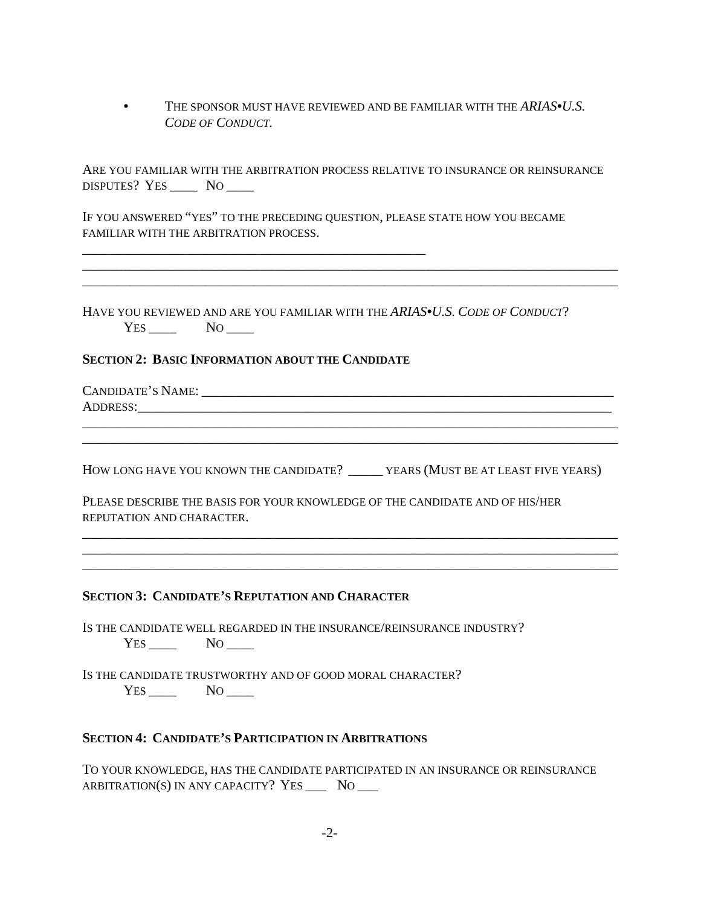• THE SPONSOR MUST HAVE REVIEWED AND BE FAMILIAR WITH THE *ARIAS•U.S. CODE OF CONDUCT.*

ARE YOU FAMILIAR WITH THE ARBITRATION PROCESS RELATIVE TO INSURANCE OR REINSURANCE DISPUTES? YES \_\_\_\_\_ NO \_\_\_\_\_

\_\_\_\_\_\_\_\_\_\_\_\_\_\_\_\_\_\_\_\_\_\_\_\_\_\_\_\_\_\_\_\_\_\_\_\_\_\_\_\_\_\_\_\_\_\_\_\_\_\_\_\_\_\_\_\_\_\_\_\_\_\_\_\_\_\_\_\_\_\_\_\_\_\_\_\_\_\_ \_\_\_\_\_\_\_\_\_\_\_\_\_\_\_\_\_\_\_\_\_\_\_\_\_\_\_\_\_\_\_\_\_\_\_\_\_\_\_\_\_\_\_\_\_\_\_\_\_\_\_\_\_\_\_\_\_\_\_\_\_\_\_\_\_\_\_\_\_\_\_\_\_\_\_\_\_\_

IF YOU ANSWERED "YES" TO THE PRECEDING QUESTION, PLEASE STATE HOW YOU BECAME FAMILIAR WITH THE ARBITRATION PROCESS.

HAVE YOU REVIEWED AND ARE YOU FAMILIAR WITH THE *ARIAS•U.S. CODE OF CONDUCT*? YES NO

#### **SECTION 2: BASIC INFORMATION ABOUT THE CANDIDATE**

\_\_\_\_\_\_\_\_\_\_\_\_\_\_\_\_\_\_\_\_\_\_\_\_\_\_\_\_\_\_\_\_\_\_\_\_\_\_\_\_\_\_\_\_\_\_\_\_\_\_

CANDIDATE'S NAME: \_\_\_\_\_\_\_\_\_\_\_\_\_\_\_\_\_\_\_\_\_\_\_\_\_\_\_\_\_\_\_\_\_\_\_\_\_\_\_\_\_\_\_\_\_\_\_\_\_\_\_\_\_\_\_\_\_\_\_\_ ADDRESS:

HOW LONG HAVE YOU KNOWN THE CANDIDATE? \_\_\_\_\_\_\_ YEARS (MUST BE AT LEAST FIVE YEARS)

\_\_\_\_\_\_\_\_\_\_\_\_\_\_\_\_\_\_\_\_\_\_\_\_\_\_\_\_\_\_\_\_\_\_\_\_\_\_\_\_\_\_\_\_\_\_\_\_\_\_\_\_\_\_\_\_\_\_\_\_\_\_\_\_\_\_\_\_\_\_\_\_\_\_\_\_\_\_ \_\_\_\_\_\_\_\_\_\_\_\_\_\_\_\_\_\_\_\_\_\_\_\_\_\_\_\_\_\_\_\_\_\_\_\_\_\_\_\_\_\_\_\_\_\_\_\_\_\_\_\_\_\_\_\_\_\_\_\_\_\_\_\_\_\_\_\_\_\_\_\_\_\_\_\_\_\_ \_\_\_\_\_\_\_\_\_\_\_\_\_\_\_\_\_\_\_\_\_\_\_\_\_\_\_\_\_\_\_\_\_\_\_\_\_\_\_\_\_\_\_\_\_\_\_\_\_\_\_\_\_\_\_\_\_\_\_\_\_\_\_\_\_\_\_\_\_\_\_\_\_\_\_\_\_\_

\_\_\_\_\_\_\_\_\_\_\_\_\_\_\_\_\_\_\_\_\_\_\_\_\_\_\_\_\_\_\_\_\_\_\_\_\_\_\_\_\_\_\_\_\_\_\_\_\_\_\_\_\_\_\_\_\_\_\_\_\_\_\_\_\_\_\_\_\_\_\_\_\_\_\_\_\_\_ \_\_\_\_\_\_\_\_\_\_\_\_\_\_\_\_\_\_\_\_\_\_\_\_\_\_\_\_\_\_\_\_\_\_\_\_\_\_\_\_\_\_\_\_\_\_\_\_\_\_\_\_\_\_\_\_\_\_\_\_\_\_\_\_\_\_\_\_\_\_\_\_\_\_\_\_\_\_

PLEASE DESCRIBE THE BASIS FOR YOUR KNOWLEDGE OF THE CANDIDATE AND OF HIS/HER REPUTATION AND CHARACTER.

#### **SECTION 3: CANDIDATE'S REPUTATION AND CHARACTER**

IS THE CANDIDATE WELL REGARDED IN THE INSURANCE/REINSURANCE INDUSTRY?  $Yes \_\_\_$  No  $\_\_\_$ 

IS THE CANDIDATE TRUSTWORTHY AND OF GOOD MORAL CHARACTER? YES NO

#### **SECTION 4: CANDIDATE'S PARTICIPATION IN ARBITRATIONS**

TO YOUR KNOWLEDGE, HAS THE CANDIDATE PARTICIPATED IN AN INSURANCE OR REINSURANCE ARBITRATION(S) IN ANY CAPACITY? YES  $\_\_\_\$  NO  $\_\_\_\$